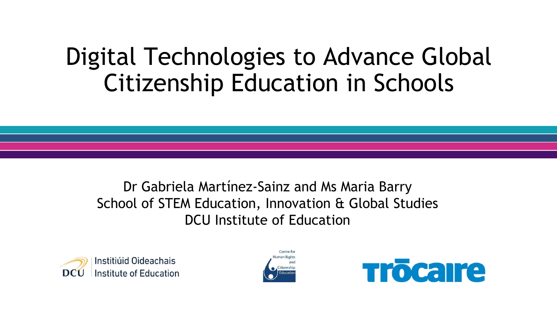# Digital Technologies to Advance Global Citizenship Education in Schools

Dr Gabriela Martínez-Sainz and Ms Maria Barry School of STEM Education, Innovation & Global Studies DCU Institute of Education





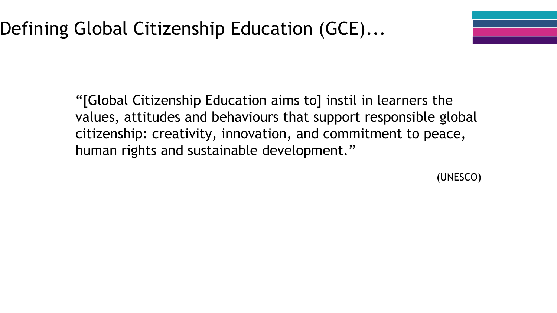"[Global Citizenship Education aims to] instil in learners the values, attitudes and behaviours that support responsible global citizenship: creativity, innovation, and commitment to peace, human rights and sustainable development."

(UNESCO)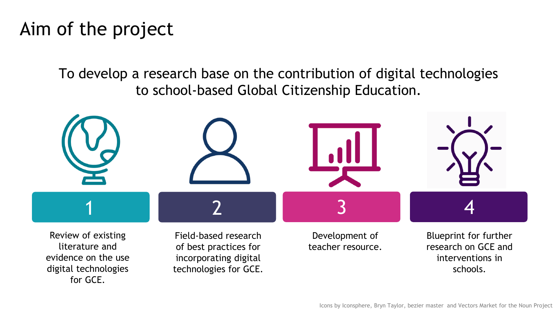### Aim of the project

To develop a research base on the contribution of digital technologies to school-based Global Citizenship Education.

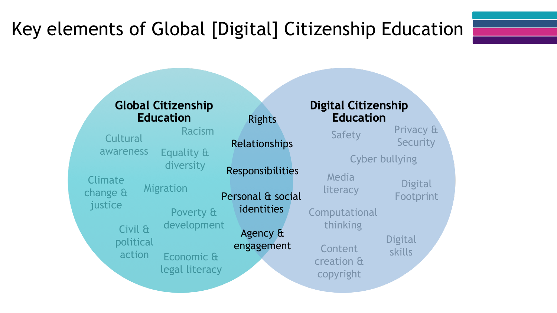## Key elements of Global [Digital] Citizenship Education

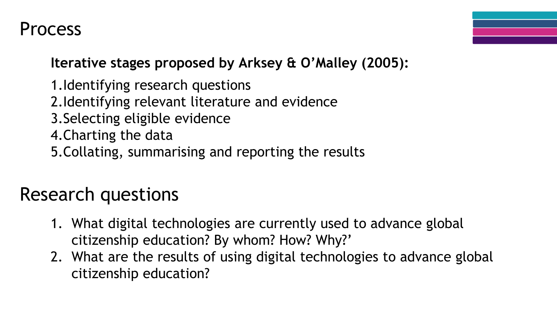### Process

**Iterative stages proposed by Arksey & O'Malley (2005):**

1.Identifying research questions 2.Identifying relevant literature and evidence 3.Selecting eligible evidence 4.Charting the data 5.Collating, summarising and reporting the results

### Research questions

- 1. What digital technologies are currently used to advance global citizenship education? By whom? How? Why?'
- 2. What are the results of using digital technologies to advance global citizenship education?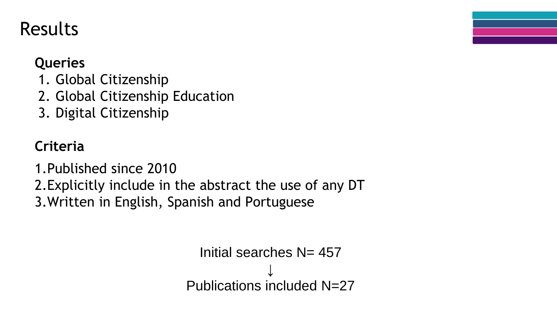#### **Queries**

- 1. Global Citizenship
- 2. Global Citizenship Education
- 3. Digital Citizenship

### **Criteria**

1.Published since 2010 2.Explicitly include in the abstract the use of any DT

3.Written in English, Spanish and Portuguese

```
Initial searches N = 457↓
Publications included N=27
```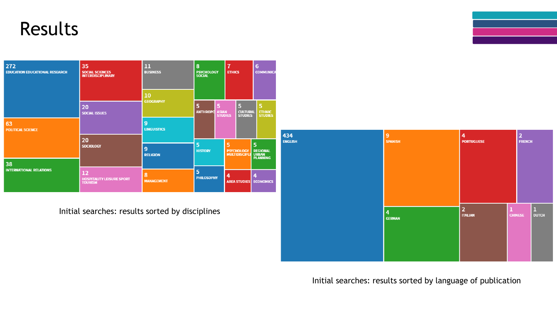

Initial searches: results sorted by disciplines



#### Initial searches: results sorted by language of publication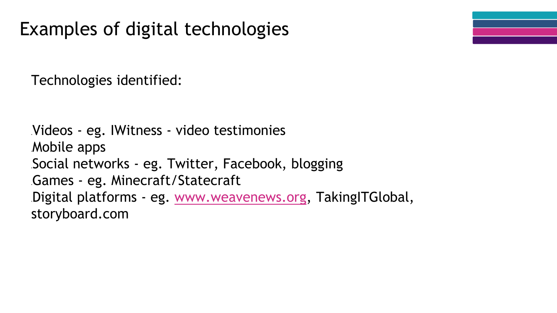Technologies identified:

Videos - eg. IWitness - video testimonies Mobile apps Social networks - eg. Twitter, Facebook, blogging Games - eg. Minecraft/Statecraft Digital platforms - eg. [www.weavenews.org](http://www.weavenews.org), TakingITGlobal, storyboard.com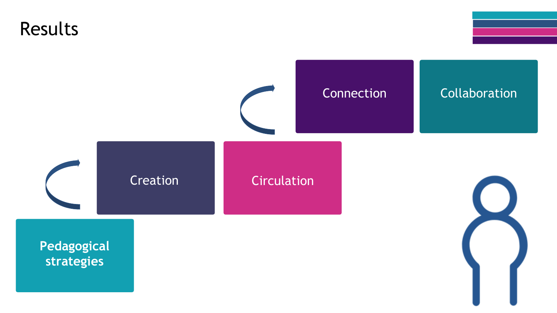

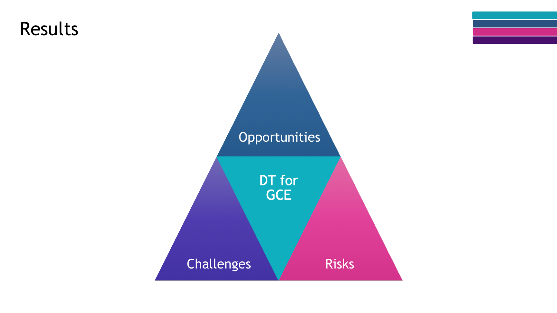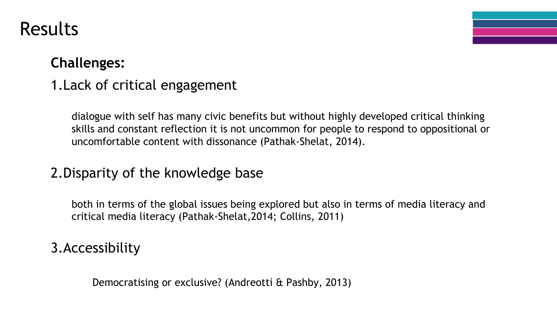#### **Challenges:**

#### 1.Lack of critical engagement

dialogue with self has many civic benefits but without highly developed critical thinking skills and constant reflection it is not uncommon for people to respond to oppositional or uncomfortable content with dissonance (Pathak-Shelat, 2014).

#### 2.Disparity of the knowledge base

both in terms of the global issues being explored but also in terms of media literacy and critical media literacy (Pathak-Shelat,2014; Collins, 2011)

#### 3.Accessibility

Democratising or exclusive? (Andreotti & Pashby, 2013)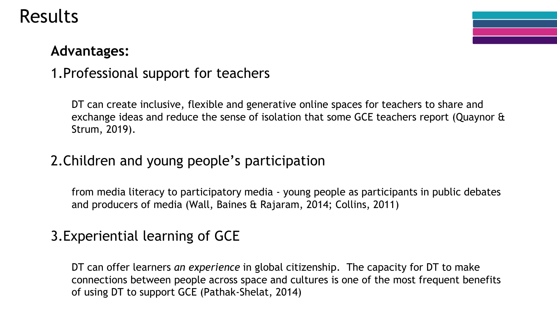#### **Advantages:**

#### 1.Professional support for teachers

DT can create inclusive, flexible and generative online spaces for teachers to share and exchange ideas and reduce the sense of isolation that some GCE teachers report (Quaynor & Strum, 2019).

#### 2.Children and young people's participation

from media literacy to participatory media - young people as participants in public debates and producers of media (Wall, Baines & Rajaram, 2014; Collins, 2011)

#### 3.Experiential learning of GCE

DT can offer learners *an experience* in global citizenship. The capacity for DT to make connections between people across space and cultures is one of the most frequent benefits of using DT to support GCE (Pathak-Shelat, 2014)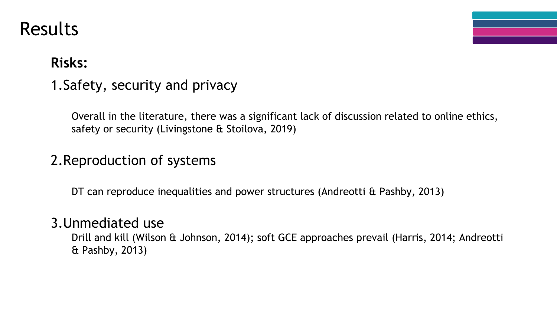### **Risks:**

1.Safety, security and privacy

Overall in the literature, there was a significant lack of discussion related to online ethics, safety or security (Livingstone & Stoilova, 2019)

#### 2.Reproduction of systems

DT can reproduce inequalities and power structures (Andreotti & Pashby, 2013)

#### 3.Unmediated use

Drill and kill (Wilson & Johnson, 2014); soft GCE approaches prevail (Harris, 2014; Andreotti & Pashby, 2013)